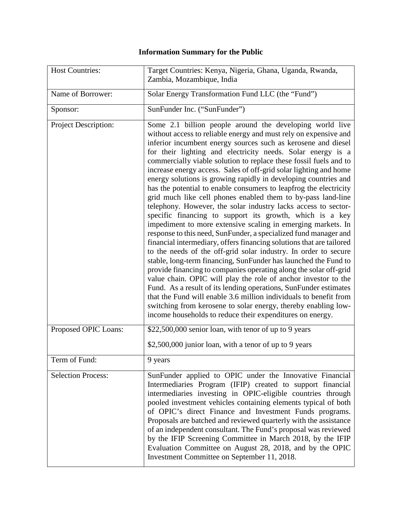## **Information Summary for the Public**

| <b>Host Countries:</b>      | Target Countries: Kenya, Nigeria, Ghana, Uganda, Rwanda,<br>Zambia, Mozambique, India                                                                                                                                                                                                                                                                                                                                                                                                                                                                                                                                                                                                                                                                                                                                                                                                                                                                                                                                                                                                                                                                                                                                                                                                                                                                                                                                                                                                                         |
|-----------------------------|---------------------------------------------------------------------------------------------------------------------------------------------------------------------------------------------------------------------------------------------------------------------------------------------------------------------------------------------------------------------------------------------------------------------------------------------------------------------------------------------------------------------------------------------------------------------------------------------------------------------------------------------------------------------------------------------------------------------------------------------------------------------------------------------------------------------------------------------------------------------------------------------------------------------------------------------------------------------------------------------------------------------------------------------------------------------------------------------------------------------------------------------------------------------------------------------------------------------------------------------------------------------------------------------------------------------------------------------------------------------------------------------------------------------------------------------------------------------------------------------------------------|
| Name of Borrower:           | Solar Energy Transformation Fund LLC (the "Fund")                                                                                                                                                                                                                                                                                                                                                                                                                                                                                                                                                                                                                                                                                                                                                                                                                                                                                                                                                                                                                                                                                                                                                                                                                                                                                                                                                                                                                                                             |
| Sponsor:                    | SunFunder Inc. ("SunFunder")                                                                                                                                                                                                                                                                                                                                                                                                                                                                                                                                                                                                                                                                                                                                                                                                                                                                                                                                                                                                                                                                                                                                                                                                                                                                                                                                                                                                                                                                                  |
| <b>Project Description:</b> | Some 2.1 billion people around the developing world live<br>without access to reliable energy and must rely on expensive and<br>inferior incumbent energy sources such as kerosene and diesel<br>for their lighting and electricity needs. Solar energy is a<br>commercially viable solution to replace these fossil fuels and to<br>increase energy access. Sales of off-grid solar lighting and home<br>energy solutions is growing rapidly in developing countries and<br>has the potential to enable consumers to leapfrog the electricity<br>grid much like cell phones enabled them to by-pass land-line<br>telephony. However, the solar industry lacks access to sector-<br>specific financing to support its growth, which is a key<br>impediment to more extensive scaling in emerging markets. In<br>response to this need, SunFunder, a specialized fund manager and<br>financial intermediary, offers financing solutions that are tailored<br>to the needs of the off-grid solar industry. In order to secure<br>stable, long-term financing, SunFunder has launched the Fund to<br>provide financing to companies operating along the solar off-grid<br>value chain. OPIC will play the role of anchor investor to the<br>Fund. As a result of its lending operations, SunFunder estimates<br>that the Fund will enable 3.6 million individuals to benefit from<br>switching from kerosene to solar energy, thereby enabling low-<br>income households to reduce their expenditures on energy. |
| Proposed OPIC Loans:        | \$22,500,000 senior loan, with tenor of up to 9 years                                                                                                                                                                                                                                                                                                                                                                                                                                                                                                                                                                                                                                                                                                                                                                                                                                                                                                                                                                                                                                                                                                                                                                                                                                                                                                                                                                                                                                                         |
|                             | \$2,500,000 junior loan, with a tenor of up to 9 years                                                                                                                                                                                                                                                                                                                                                                                                                                                                                                                                                                                                                                                                                                                                                                                                                                                                                                                                                                                                                                                                                                                                                                                                                                                                                                                                                                                                                                                        |
| Term of Fund:               | 9 years                                                                                                                                                                                                                                                                                                                                                                                                                                                                                                                                                                                                                                                                                                                                                                                                                                                                                                                                                                                                                                                                                                                                                                                                                                                                                                                                                                                                                                                                                                       |
| <b>Selection Process:</b>   | SunFunder applied to OPIC under the Innovative Financial<br>Intermediaries Program (IFIP) created to support financial<br>intermediaries investing in OPIC-eligible countries through<br>pooled investment vehicles containing elements typical of both<br>of OPIC's direct Finance and Investment Funds programs.<br>Proposals are batched and reviewed quarterly with the assistance<br>of an independent consultant. The Fund's proposal was reviewed<br>by the IFIP Screening Committee in March 2018, by the IFIP<br>Evaluation Committee on August 28, 2018, and by the OPIC<br>Investment Committee on September 11, 2018.                                                                                                                                                                                                                                                                                                                                                                                                                                                                                                                                                                                                                                                                                                                                                                                                                                                                             |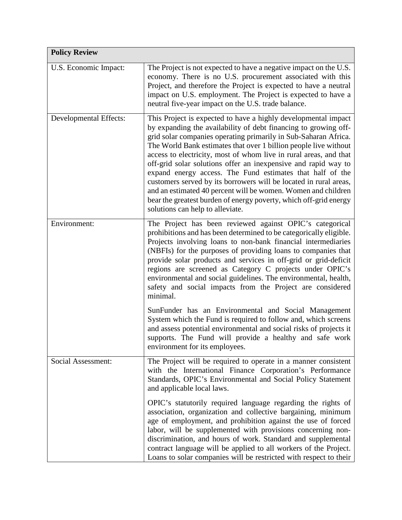| <b>Policy Review</b>   |                                                                                                                                                                                                                                                                                                                                                                                                                                                                                                                                                                                                                                                                                                                             |
|------------------------|-----------------------------------------------------------------------------------------------------------------------------------------------------------------------------------------------------------------------------------------------------------------------------------------------------------------------------------------------------------------------------------------------------------------------------------------------------------------------------------------------------------------------------------------------------------------------------------------------------------------------------------------------------------------------------------------------------------------------------|
| U.S. Economic Impact:  | The Project is not expected to have a negative impact on the U.S.<br>economy. There is no U.S. procurement associated with this<br>Project, and therefore the Project is expected to have a neutral<br>impact on U.S. employment. The Project is expected to have a<br>neutral five-year impact on the U.S. trade balance.                                                                                                                                                                                                                                                                                                                                                                                                  |
| Developmental Effects: | This Project is expected to have a highly developmental impact<br>by expanding the availability of debt financing to growing off-<br>grid solar companies operating primarily in Sub-Saharan Africa.<br>The World Bank estimates that over 1 billion people live without<br>access to electricity, most of whom live in rural areas, and that<br>off-grid solar solutions offer an inexpensive and rapid way to<br>expand energy access. The Fund estimates that half of the<br>customers served by its borrowers will be located in rural areas,<br>and an estimated 40 percent will be women. Women and children<br>bear the greatest burden of energy poverty, which off-grid energy<br>solutions can help to alleviate. |
| Environment:           | The Project has been reviewed against OPIC's categorical<br>prohibitions and has been determined to be categorically eligible.<br>Projects involving loans to non-bank financial intermediaries<br>(NBFIs) for the purposes of providing loans to companies that<br>provide solar products and services in off-grid or grid-deficit<br>regions are screened as Category C projects under OPIC's<br>environmental and social guidelines. The environmental, health,<br>safety and social impacts from the Project are considered<br>minimal.                                                                                                                                                                                 |
|                        | SunFunder has an Environmental and Social Management<br>System which the Fund is required to follow and, which screens<br>and assess potential environmental and social risks of projects it<br>supports. The Fund will provide a healthy and safe work<br>environment for its employees.                                                                                                                                                                                                                                                                                                                                                                                                                                   |
| Social Assessment:     | The Project will be required to operate in a manner consistent<br>with the International Finance Corporation's Performance<br>Standards, OPIC's Environmental and Social Policy Statement<br>and applicable local laws.                                                                                                                                                                                                                                                                                                                                                                                                                                                                                                     |
|                        | OPIC's statutorily required language regarding the rights of<br>association, organization and collective bargaining, minimum<br>age of employment, and prohibition against the use of forced<br>labor, will be supplemented with provisions concerning non-<br>discrimination, and hours of work. Standard and supplemental<br>contract language will be applied to all workers of the Project.<br>Loans to solar companies will be restricted with respect to their                                                                                                                                                                                                                                                        |